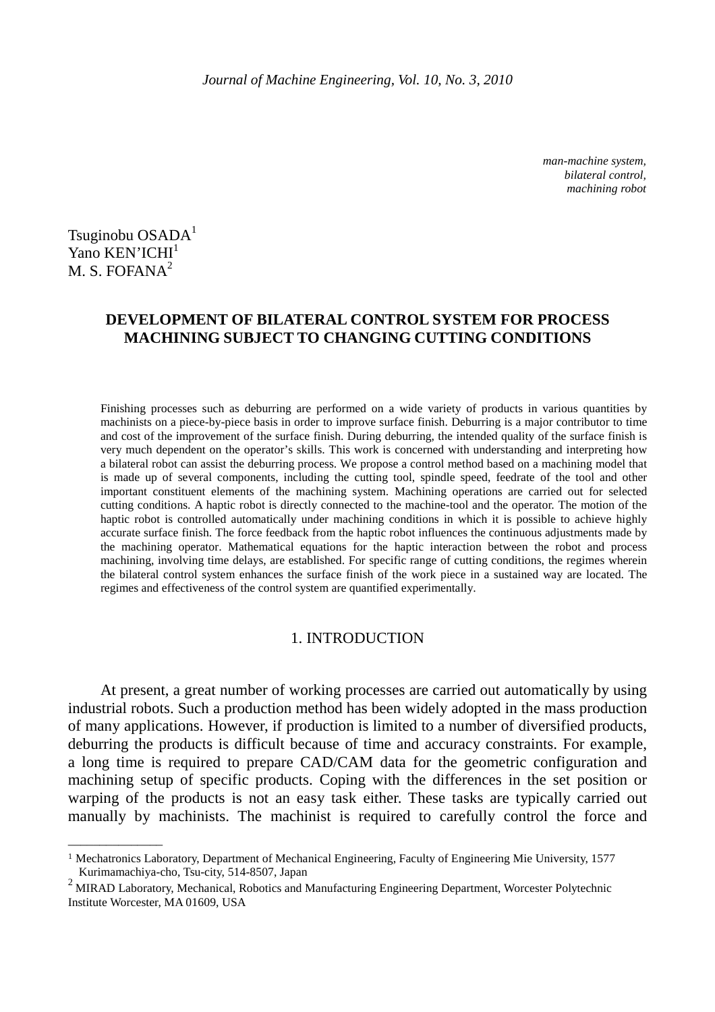*man-machine system, bilateral control, machining robot* 

Tsuginobu OSADA<sup>1</sup> Yano KEN'ICHI<sup>1</sup> M. S. FOFANA<sup>2</sup>

 $\overline{\phantom{a}}$  , where  $\overline{\phantom{a}}$ 

# **DEVELOPMENT OF BILATERAL CONTROL SYSTEM FOR PROCESS MACHINING SUBJECT TO CHANGING CUTTING CONDITIONS**

Finishing processes such as deburring are performed on a wide variety of products in various quantities by machinists on a piece-by-piece basis in order to improve surface finish. Deburring is a major contributor to time and cost of the improvement of the surface finish. During deburring, the intended quality of the surface finish is very much dependent on the operator's skills. This work is concerned with understanding and interpreting how a bilateral robot can assist the deburring process. We propose a control method based on a machining model that is made up of several components, including the cutting tool, spindle speed, feedrate of the tool and other important constituent elements of the machining system. Machining operations are carried out for selected cutting conditions. A haptic robot is directly connected to the machine-tool and the operator. The motion of the haptic robot is controlled automatically under machining conditions in which it is possible to achieve highly accurate surface finish. The force feedback from the haptic robot influences the continuous adjustments made by the machining operator. Mathematical equations for the haptic interaction between the robot and process machining, involving time delays, are established. For specific range of cutting conditions, the regimes wherein the bilateral control system enhances the surface finish of the work piece in a sustained way are located. The regimes and effectiveness of the control system are quantified experimentally.

## 1. INTRODUCTION

At present, a great number of working processes are carried out automatically by using industrial robots. Such a production method has been widely adopted in the mass production of many applications. However, if production is limited to a number of diversified products, deburring the products is difficult because of time and accuracy constraints. For example, a long time is required to prepare CAD/CAM data for the geometric configuration and machining setup of specific products. Coping with the differences in the set position or warping of the products is not an easy task either. These tasks are typically carried out manually by machinists. The machinist is required to carefully control the force and

<sup>1</sup> Mechatronics Laboratory, Department of Mechanical Engineering, Faculty of Engineering Mie University, 1577 Kurimamachiya-cho, Tsu-city, 514-8507, Japan

 $2$  MIRAD Laboratory, Mechanical, Robotics and Manufacturing Engineering Department, Worcester Polytechnic Institute Worcester, MA 01609, USA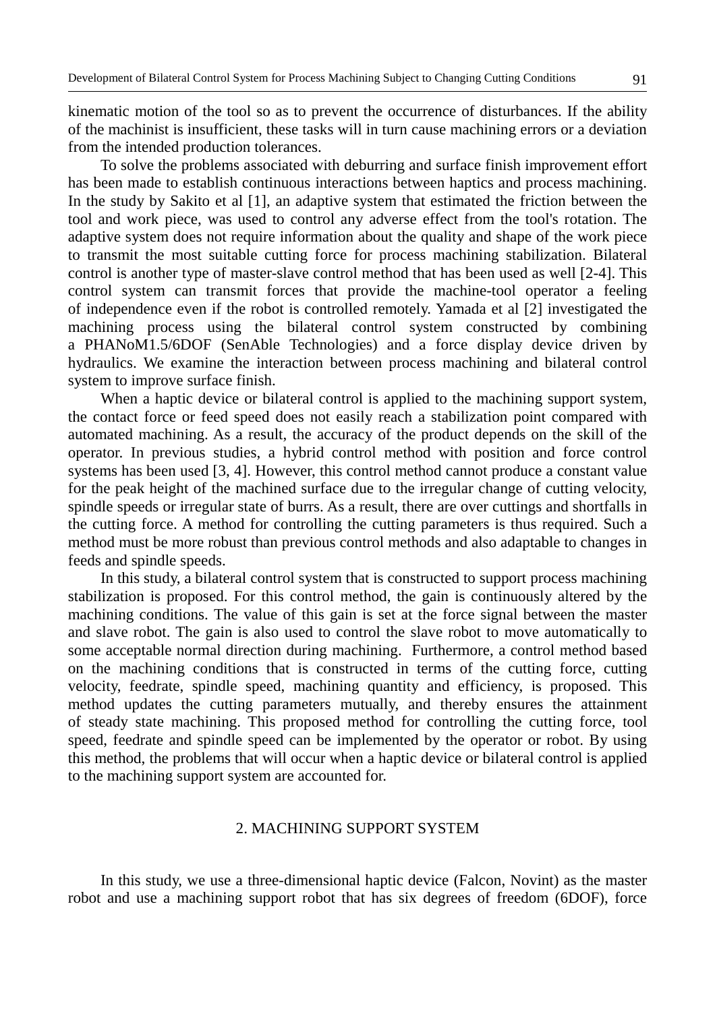kinematic motion of the tool so as to prevent the occurrence of disturbances. If the ability of the machinist is insufficient, these tasks will in turn cause machining errors or a deviation from the intended production tolerances.

To solve the problems associated with deburring and surface finish improvement effort has been made to establish continuous interactions between haptics and process machining. In the study by Sakito et al [1], an adaptive system that estimated the friction between the tool and work piece, was used to control any adverse effect from the tool's rotation. The adaptive system does not require information about the quality and shape of the work piece to transmit the most suitable cutting force for process machining stabilization. Bilateral control is another type of master-slave control method that has been used as well [2-4]. This control system can transmit forces that provide the machine-tool operator a feeling of independence even if the robot is controlled remotely. Yamada et al [2] investigated the machining process using the bilateral control system constructed by combining a PHANoM1.5/6DOF (SenAble Technologies) and a force display device driven by hydraulics. We examine the interaction between process machining and bilateral control system to improve surface finish.

When a haptic device or bilateral control is applied to the machining support system, the contact force or feed speed does not easily reach a stabilization point compared with automated machining. As a result, the accuracy of the product depends on the skill of the operator. In previous studies, a hybrid control method with position and force control systems has been used [3, 4]. However, this control method cannot produce a constant value for the peak height of the machined surface due to the irregular change of cutting velocity, spindle speeds or irregular state of burrs. As a result, there are over cuttings and shortfalls in the cutting force. A method for controlling the cutting parameters is thus required. Such a method must be more robust than previous control methods and also adaptable to changes in feeds and spindle speeds.

In this study, a bilateral control system that is constructed to support process machining stabilization is proposed. For this control method, the gain is continuously altered by the machining conditions. The value of this gain is set at the force signal between the master and slave robot. The gain is also used to control the slave robot to move automatically to some acceptable normal direction during machining. Furthermore, a control method based on the machining conditions that is constructed in terms of the cutting force, cutting velocity, feedrate, spindle speed, machining quantity and efficiency, is proposed. This method updates the cutting parameters mutually, and thereby ensures the attainment of steady state machining. This proposed method for controlling the cutting force, tool speed, feedrate and spindle speed can be implemented by the operator or robot. By using this method, the problems that will occur when a haptic device or bilateral control is applied to the machining support system are accounted for.

## 2. MACHINING SUPPORT SYSTEM

In this study, we use a three-dimensional haptic device (Falcon, Novint) as the master robot and use a machining support robot that has six degrees of freedom (6DOF), force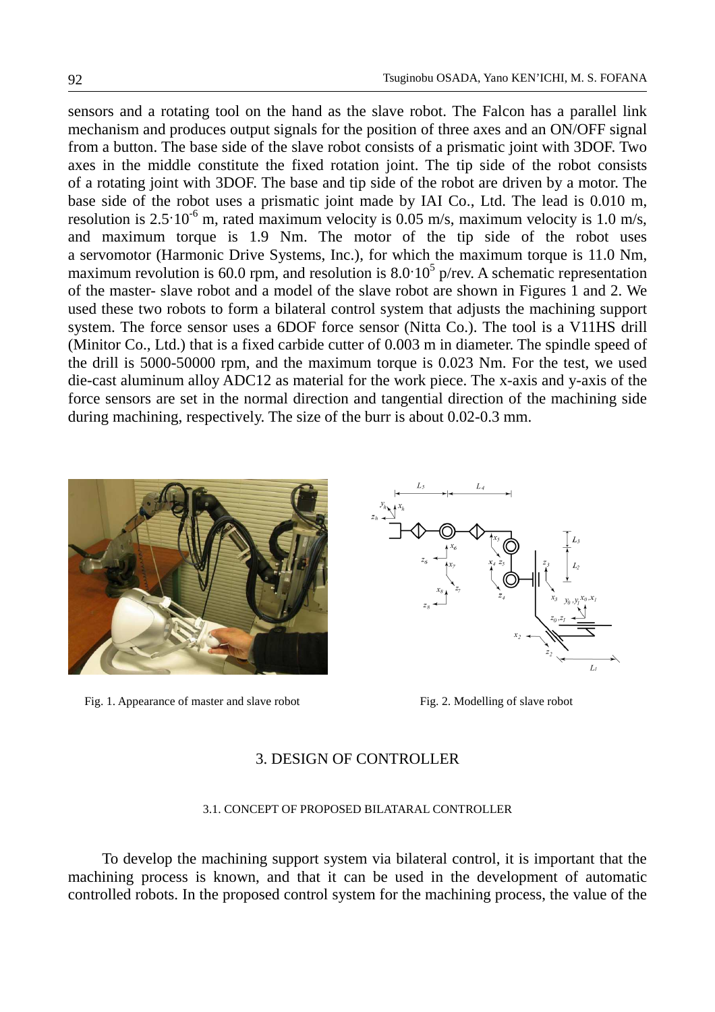sensors and a rotating tool on the hand as the slave robot. The Falcon has a parallel link mechanism and produces output signals for the position of three axes and an ON/OFF signal from a button. The base side of the slave robot consists of a prismatic joint with 3DOF. Two axes in the middle constitute the fixed rotation joint. The tip side of the robot consists of a rotating joint with 3DOF. The base and tip side of the robot are driven by a motor. The base side of the robot uses a prismatic joint made by IAI Co., Ltd. The lead is 0.010 m, resolution is  $2.5 \cdot 10^{-6}$  m, rated maximum velocity is 0.05 m/s, maximum velocity is 1.0 m/s, and maximum torque is 1.9 Nm. The motor of the tip side of the robot uses a servomotor (Harmonic Drive Systems, Inc.), for which the maximum torque is 11.0 Nm, maximum revolution is 60.0 rpm, and resolution is  $8.0 \cdot 10^5$  p/rev. A schematic representation of the master- slave robot and a model of the slave robot are shown in Figures 1 and 2. We used these two robots to form a bilateral control system that adjusts the machining support system. The force sensor uses a 6DOF force sensor (Nitta Co.). The tool is a V11HS drill (Minitor Co., Ltd.) that is a fixed carbide cutter of 0.003 m in diameter. The spindle speed of the drill is 5000-50000 rpm, and the maximum torque is 0.023 Nm. For the test, we used die-cast aluminum alloy ADC12 as material for the work piece. The x-axis and y-axis of the force sensors are set in the normal direction and tangential direction of the machining side during machining, respectively. The size of the burr is about 0.02-0.3 mm.



Fig. 1. Appearance of master and slave robot Fig. 2. Modelling of slave robot



## 3. DESIGN OF CONTROLLER

### 3.1. CONCEPT OF PROPOSED BILATARAL CONTROLLER

To develop the machining support system via bilateral control, it is important that the machining process is known, and that it can be used in the development of automatic controlled robots. In the proposed control system for the machining process, the value of the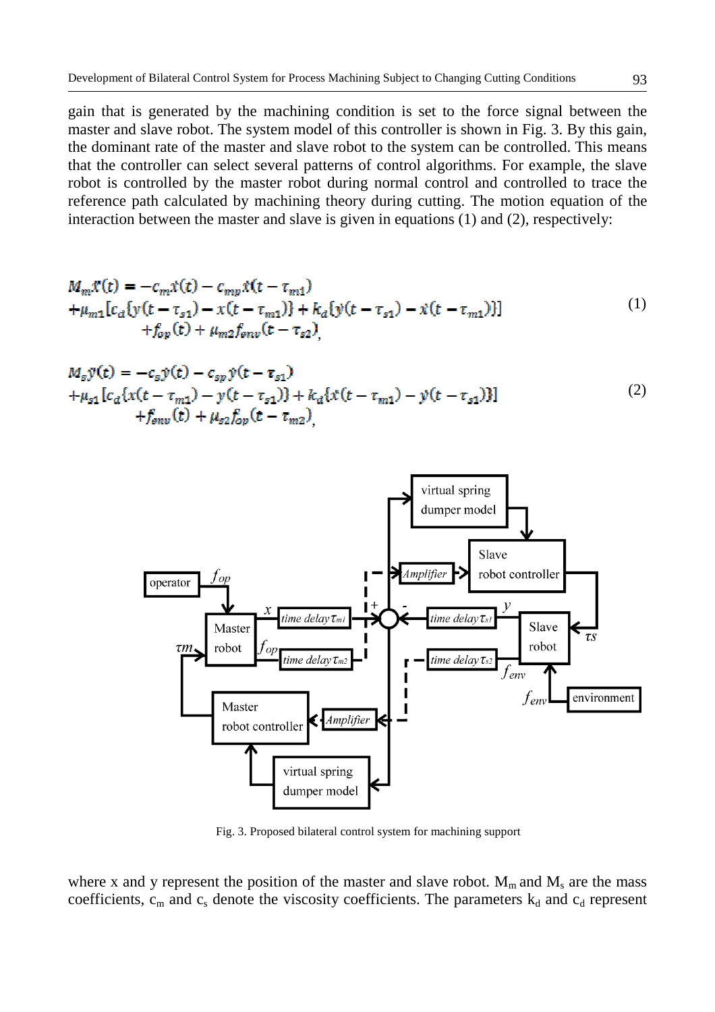gain that is generated by the machining condition is set to the force signal between the master and slave robot. The system model of this controller is shown in Fig. 3. By this gain, the dominant rate of the master and slave robot to the system can be controlled. This means that the controller can select several patterns of control algorithms. For example, the slave robot is controlled by the master robot during normal control and controlled to trace the reference path calculated by machining theory during cutting. The motion equation of the interaction between the master and slave is given in equations (1) and (2), respectively:

$$
M_m \mathcal{X}(t) = -c_m \mathcal{X}(t) - c_{mp} \mathcal{X}(t - \tau_{m1})
$$
  
+  $\mu_{m1} [c_a \{y(t - \tau_{s1}) - x(t - \tau_{m1})\} + k_a \{y(t - \tau_{s1}) - \mathcal{X}(t - \tau_{m1})\}]$   
+  $f_{op}(t) + \mu_{m2} f_{env}(t - \tau_{s2})$ , (1)

$$
M_{s}\ddot{y}(t) = -c_{s}\dot{y}(t) - c_{sp}\dot{y}(t - \tau_{s1})
$$
  
+  $\mu_{s1}[c_{d}\{x(t - \tau_{m1}) - y(t - \tau_{s1})\} + k_{d}\{x(t - \tau_{m1}) - y(t - \tau_{s1})\}]$   
+  $f_{env}(t) + \mu_{s2}f_{op}(t - \tau_{m2})$ , (2)



Fig. 3. Proposed bilateral control system for machining support

where x and y represent the position of the master and slave robot.  $M_m$  and  $M_s$  are the mass coefficients,  $c_m$  and  $c_s$  denote the viscosity coefficients. The parameters  $k_d$  and  $c_d$  represent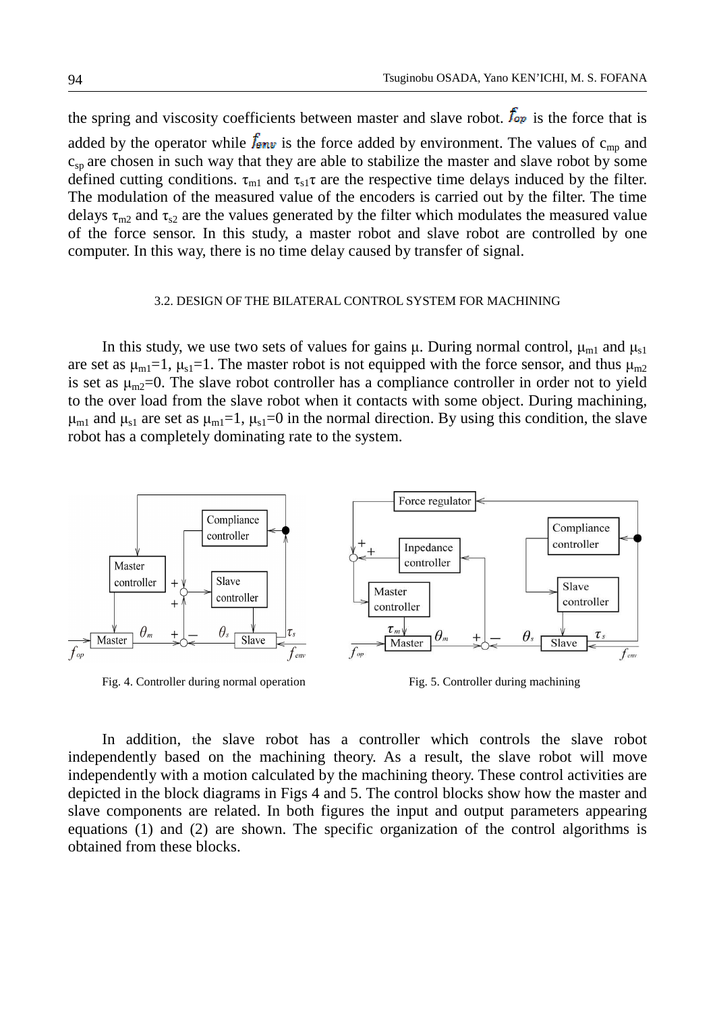the spring and viscosity coefficients between master and slave robot.  $f_{op}$  is the force that is added by the operator while  $f_{\text{env}}$  is the force added by environment. The values of  $c_{\text{mp}}$  and  $c_{sp}$  are chosen in such way that they are able to stabilize the master and slave robot by some defined cutting conditions.  $\tau_{m1}$  and  $\tau_{s1}\tau$  are the respective time delays induced by the filter. The modulation of the measured value of the encoders is carried out by the filter. The time delays  $\tau_{m2}$  and  $\tau_{s2}$  are the values generated by the filter which modulates the measured value of the force sensor. In this study, a master robot and slave robot are controlled by one computer. In this way, there is no time delay caused by transfer of signal.

### 3.2. DESIGN OF THE BILATERAL CONTROL SYSTEM FOR MACHINING

In this study, we use two sets of values for gains  $\mu$ . During normal control,  $\mu_{m1}$  and  $\mu_{s1}$ are set as  $\mu_{m1}=1$ ,  $\mu_{s1}=1$ . The master robot is not equipped with the force sensor, and thus  $\mu_{m2}$ is set as  $\mu_{m2}=0$ . The slave robot controller has a compliance controller in order not to yield to the over load from the slave robot when it contacts with some object. During machining,  $\mu_{m1}$  and  $\mu_{s1}$  are set as  $\mu_{m1}=1$ ,  $\mu_{s1}=0$  in the normal direction. By using this condition, the slave robot has a completely dominating rate to the system.



Fig. 4. Controller during normal operation Fig. 5. Controller during machining

In addition, the slave robot has a controller which controls the slave robot independently based on the machining theory. As a result, the slave robot will move independently with a motion calculated by the machining theory. These control activities are depicted in the block diagrams in Figs 4 and 5. The control blocks show how the master and slave components are related. In both figures the input and output parameters appearing equations (1) and (2) are shown. The specific organization of the control algorithms is obtained from these blocks.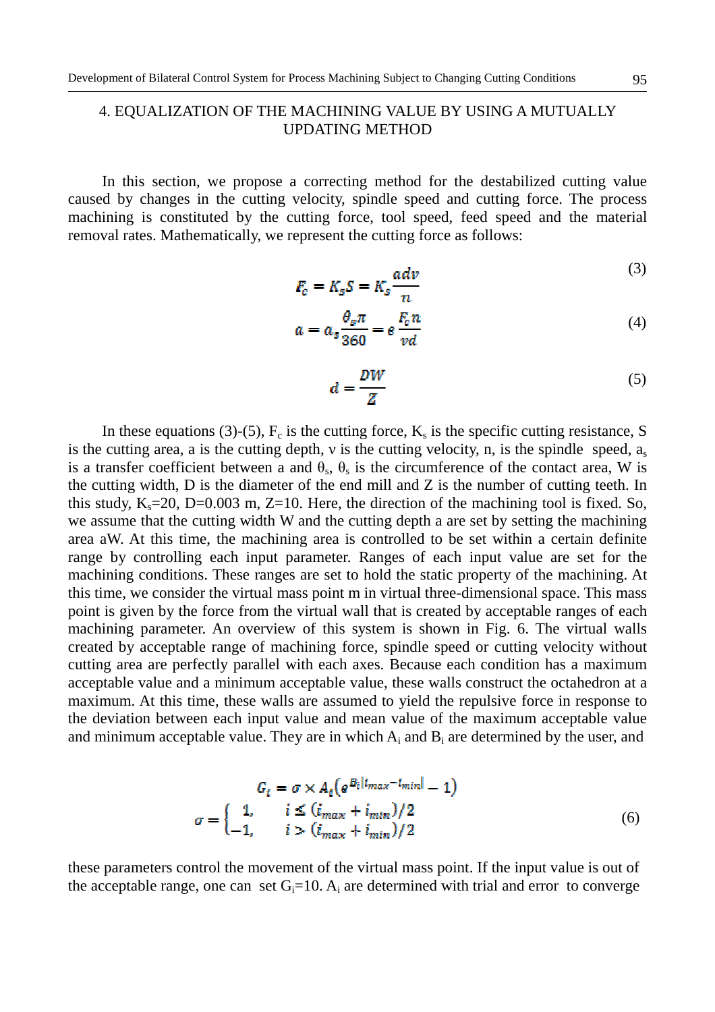# 4. EQUALIZATION OF THE MACHINING VALUE BY USING A MUTUALLY UPDATING METHOD

In this section, we propose a correcting method for the destabilized cutting value caused by changes in the cutting velocity, spindle speed and cutting force. The process machining is constituted by the cutting force, tool speed, feed speed and the material removal rates. Mathematically, we represent the cutting force as follows:

$$
F_c = K_s S = K_s \frac{adv}{n}
$$
 (3)

$$
a = a_s \frac{\theta_s \pi}{360} = e \frac{F_c n}{vd}
$$
\n<sup>(4)</sup>

$$
d = \frac{DW}{Z} \tag{5}
$$

In these equations (3)-(5),  $F_c$  is the cutting force,  $K_s$  is the specific cutting resistance, S is the cutting area, a is the cutting depth,  $v$  is the cutting velocity, n, is the spindle speed,  $a_s$ is a transfer coefficient between a and  $\theta_s$ ,  $\theta_s$  is the circumference of the contact area, W is the cutting width, D is the diameter of the end mill and Z is the number of cutting teeth. In this study,  $K_s = 20$ , D=0.003 m, Z=10. Here, the direction of the machining tool is fixed. So, we assume that the cutting width W and the cutting depth a are set by setting the machining area aW. At this time, the machining area is controlled to be set within a certain definite range by controlling each input parameter. Ranges of each input value are set for the machining conditions. These ranges are set to hold the static property of the machining. At this time, we consider the virtual mass point m in virtual three-dimensional space. This mass point is given by the force from the virtual wall that is created by acceptable ranges of each machining parameter. An overview of this system is shown in Fig. 6. The virtual walls created by acceptable range of machining force, spindle speed or cutting velocity without cutting area are perfectly parallel with each axes. Because each condition has a maximum acceptable value and a minimum acceptable value, these walls construct the octahedron at a maximum. At this time, these walls are assumed to yield the repulsive force in response to the deviation between each input value and mean value of the maximum acceptable value and minimum acceptable value. They are in which  $A_i$  and  $B_i$  are determined by the user, and

$$
G_i = \sigma \times A_i \left( e^{B_i | i_{max} - i_{min} |} - 1 \right)
$$
  

$$
\sigma = \begin{cases} 1, & i \le (i_{max} + i_{min})/2 \\ -1, & i > (i_{max} + i_{min})/2 \end{cases}
$$
 (6)

these parameters control the movement of the virtual mass point. If the input value is out of the acceptable range, one can set  $G_i=10$ .  $A_i$  are determined with trial and error to converge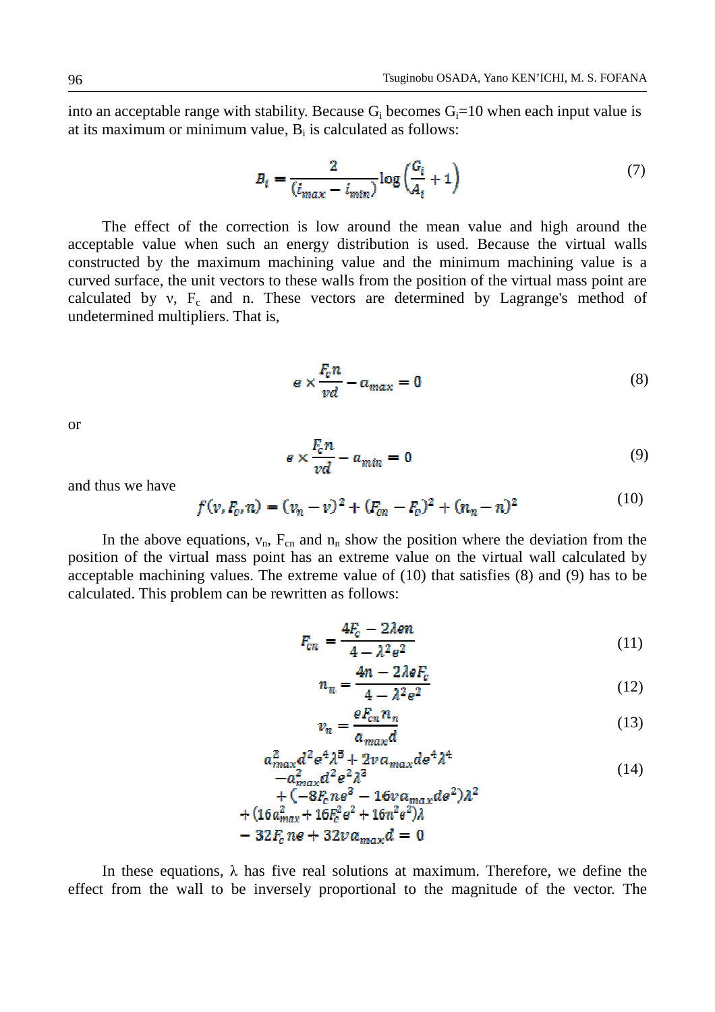into an acceptable range with stability. Because  $G_i$  becomes  $G_i = 10$  when each input value is at its maximum or minimum value,  $B_i$  is calculated as follows:

$$
B_i = \frac{2}{(i_{max} - i_{min})} \log \left( \frac{G_i}{A_i} + 1 \right) \tag{7}
$$

The effect of the correction is low around the mean value and high around the acceptable value when such an energy distribution is used. Because the virtual walls constructed by the maximum machining value and the minimum machining value is a curved surface, the unit vectors to these walls from the position of the virtual mass point are calculated by  $v$ ,  $F_c$  and n. These vectors are determined by Lagrange's method of undetermined multipliers. That is,

$$
e \times \frac{F_c n}{vd} - a_{max} = 0 \tag{8}
$$

or

$$
e \times \frac{F_c n}{vd} - a_{min} = 0 \tag{9}
$$

and thus we have

$$
f(v, F_c, n) = (v_n - v)^2 + (F_{cn} - F_c)^2 + (n_n - n)^2
$$
\n(10)

In the above equations,  $v_n$ ,  $F_{cn}$  and  $n_n$  show the position where the deviation from the position of the virtual mass point has an extreme value on the virtual wall calculated by acceptable machining values. The extreme value of (10) that satisfies (8) and (9) has to be calculated. This problem can be rewritten as follows:

$$
F_{cn} = \frac{4F_c - 2\lambda en}{4 - \lambda^2 e^2} \tag{11}
$$

$$
n_n = \frac{4n - 2\lambda eF_c}{4 - \lambda^2 e^2} \tag{12}
$$

$$
v_n = \frac{eF_{cn}n_n}{a_{max}d} \tag{13}
$$

$$
a_{max}^2 d^2 e^4 \lambda^5 + 2v a_{max} d e^4 \lambda^4
$$
  
\n
$$
-a_{max}^2 d^2 e^2 \lambda^3
$$
  
\n
$$
+ \left( -8F n e^3 - 16v g - d e^2 \right) \lambda^2
$$
\n(14)

$$
+(16a_{max}^2 + 16b_{c}^2e^2 + 16n^2e^2)\lambda
$$
  
- 32F<sub>c</sub>  $ne + 32v a_{max}d = 0$ 

In these equations,  $\lambda$  has five real solutions at maximum. Therefore, we define the effect from the wall to be inversely proportional to the magnitude of the vector. The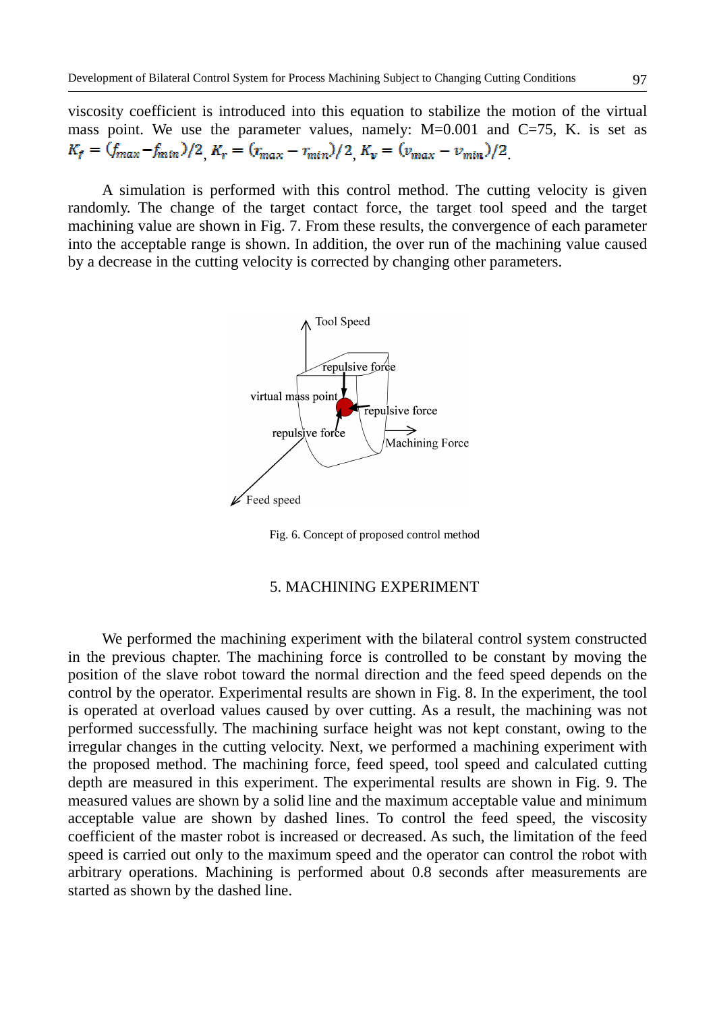viscosity coefficient is introduced into this equation to stabilize the motion of the virtual mass point. We use the parameter values, namely:  $M=0.001$  and  $C=75$ , K. is set as  $K_f = (f_{max} - f_{min})/2$ ,  $K_r = (r_{max} - r_{min})/2$ ,  $K_v = (v_{max} - v_{min})/2$ .

A simulation is performed with this control method. The cutting velocity is given randomly. The change of the target contact force, the target tool speed and the target machining value are shown in Fig. 7. From these results, the convergence of each parameter into the acceptable range is shown. In addition, the over run of the machining value caused by a decrease in the cutting velocity is corrected by changing other parameters.



Fig. 6. Concept of proposed control method

## 5. MACHINING EXPERIMENT

We performed the machining experiment with the bilateral control system constructed in the previous chapter. The machining force is controlled to be constant by moving the position of the slave robot toward the normal direction and the feed speed depends on the control by the operator. Experimental results are shown in Fig. 8. In the experiment, the tool is operated at overload values caused by over cutting. As a result, the machining was not performed successfully. The machining surface height was not kept constant, owing to the irregular changes in the cutting velocity. Next, we performed a machining experiment with the proposed method. The machining force, feed speed, tool speed and calculated cutting depth are measured in this experiment. The experimental results are shown in Fig. 9. The measured values are shown by a solid line and the maximum acceptable value and minimum acceptable value are shown by dashed lines. To control the feed speed, the viscosity coefficient of the master robot is increased or decreased. As such, the limitation of the feed speed is carried out only to the maximum speed and the operator can control the robot with arbitrary operations. Machining is performed about 0.8 seconds after measurements are started as shown by the dashed line.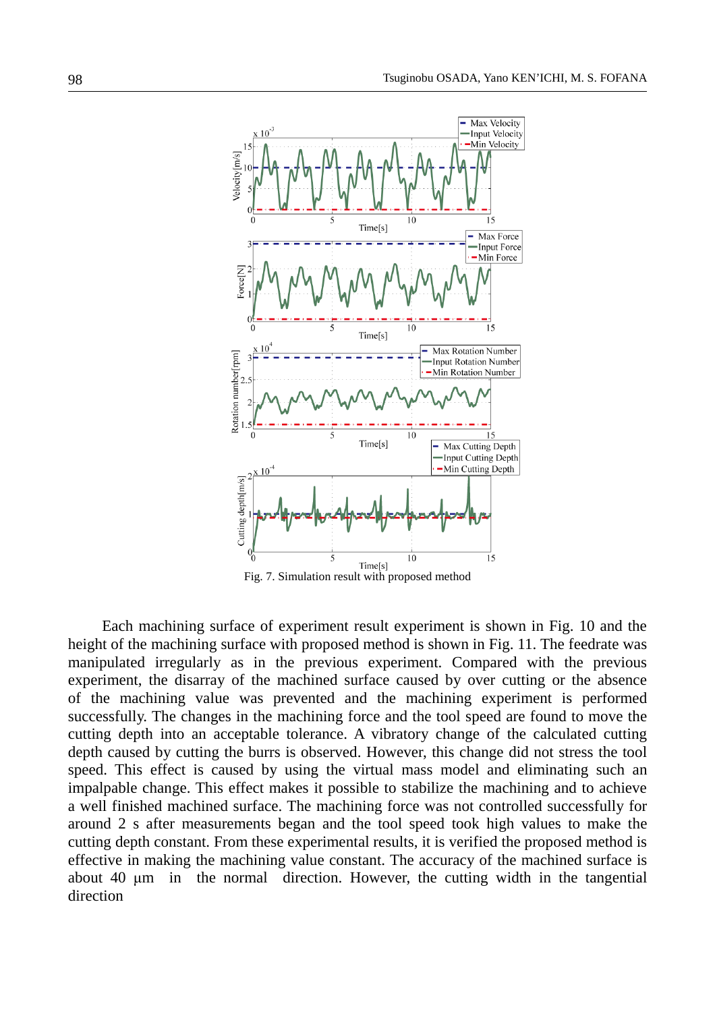

 Each machining surface of experiment result experiment is shown in Fig. 10 and the height of the machining surface with proposed method is shown in Fig. 11. The feedrate was manipulated irregularly as in the previous experiment. Compared with the previous experiment, the disarray of the machined surface caused by over cutting or the absence of the machining value was prevented and the machining experiment is performed successfully. The changes in the machining force and the tool speed are found to move the cutting depth into an acceptable tolerance. A vibratory change of the calculated cutting depth caused by cutting the burrs is observed. However, this change did not stress the tool speed. This effect is caused by using the virtual mass model and eliminating such an impalpable change. This effect makes it possible to stabilize the machining and to achieve a well finished machined surface. The machining force was not controlled successfully for around 2 s after measurements began and the tool speed took high values to make the cutting depth constant. From these experimental results, it is verified the proposed method is effective in making the machining value constant. The accuracy of the machined surface is about 40 µm in the normal direction. However, the cutting width in the tangential direction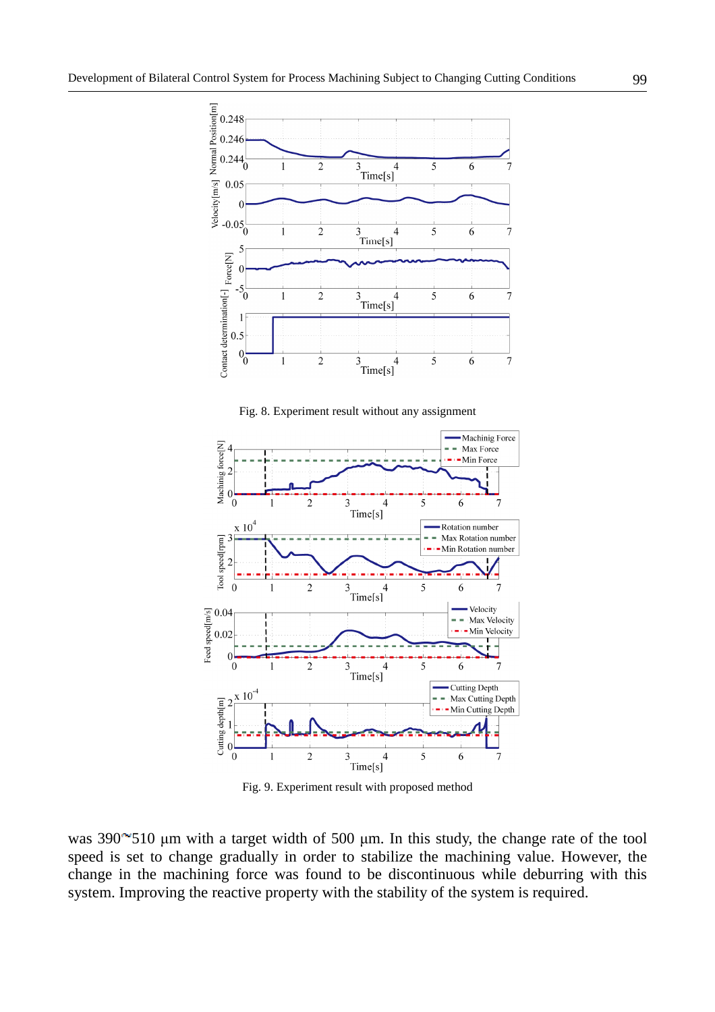

Fig. 8. Experiment result without any assignment



Fig. 9. Experiment result with proposed method

was  $390^{\circ}510$  µm with a target width of 500 µm. In this study, the change rate of the tool speed is set to change gradually in order to stabilize the machining value. However, the change in the machining force was found to be discontinuous while deburring with this system. Improving the reactive property with the stability of the system is required.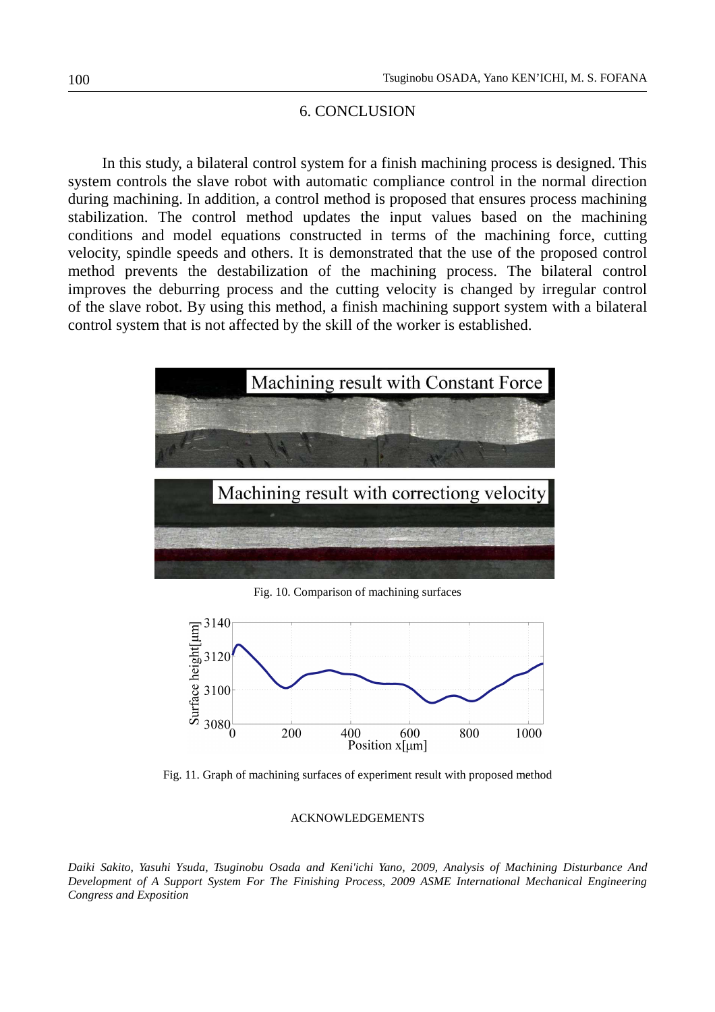## 6. CONCLUSION

 In this study, a bilateral control system for a finish machining process is designed. This system controls the slave robot with automatic compliance control in the normal direction during machining. In addition, a control method is proposed that ensures process machining stabilization. The control method updates the input values based on the machining conditions and model equations constructed in terms of the machining force, cutting velocity, spindle speeds and others. It is demonstrated that the use of the proposed control method prevents the destabilization of the machining process. The bilateral control improves the deburring process and the cutting velocity is changed by irregular control of the slave robot. By using this method, a finish machining support system with a bilateral control system that is not affected by the skill of the worker is established.



Fig. 10. Comparison of machining surfaces



Fig. 11. Graph of machining surfaces of experiment result with proposed method

#### ACKNOWLEDGEMENTS

*Daiki Sakito, Yasuhi Ysuda, Tsuginobu Osada and Keni'ichi Yano, 2009, Analysis of Machining Disturbance And Development of A Support System For The Finishing Process, 2009 ASME International Mechanical Engineering Congress and Exposition*